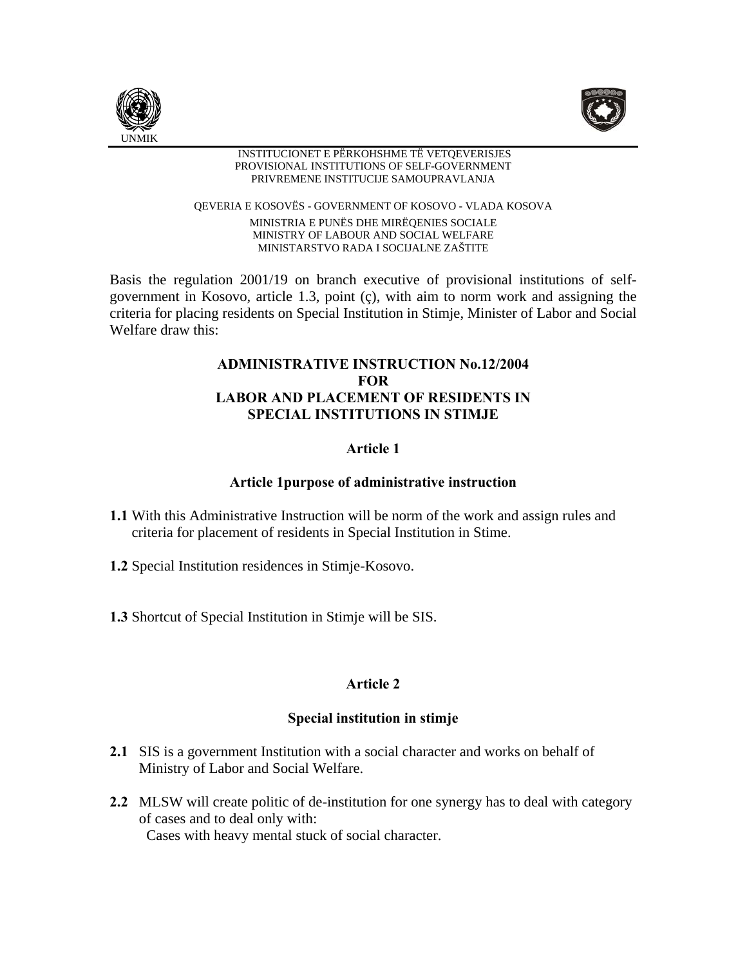



#### INSTITUCIONET E PËRKOHSHME TË VETQEVERISJES PROVISIONAL INSTITUTIONS OF SELF-GOVERNMENT PRIVREMENE INSTITUCIJE SAMOUPRAVLANJA

QEVERIA E KOSOVËS - GOVERNMENT OF KOSOVO - VLADA KOSOVA MINISTRIA E PUNËS DHE MIRËQENIES SOCIALE MINISTRY OF LABOUR AND SOCIAL WELFARE MINISTARSTVO RADA I SOCIJALNE ZAŠTITE

Basis the regulation 2001/19 on branch executive of provisional institutions of selfgovernment in Kosovo, article 1.3, point (ç), with aim to norm work and assigning the criteria for placing residents on Special Institution in Stimje, Minister of Labor and Social Welfare draw this:

# **ADMINISTRATIVE INSTRUCTION No.12/2004 FOR LABOR AND PLACEMENT OF RESIDENTS IN SPECIAL INSTITUTIONS IN STIMJE**

# **Article 1**

# **Article 1purpose of administrative instruction**

- **1.1** With this Administrative Instruction will be norm of the work and assign rules and criteria for placement of residents in Special Institution in Stime.
- **1.2** Special Institution residences in Stimje-Kosovo.
- **1.3** Shortcut of Special Institution in Stimje will be SIS.

# **Article 2**

# **Special institution in stimje**

- **2.1** SIS is a government Institution with a social character and works on behalf of Ministry of Labor and Social Welfare.
- **2.2** MLSW will create politic of de-institution for one synergy has to deal with category of cases and to deal only with: Cases with heavy mental stuck of social character.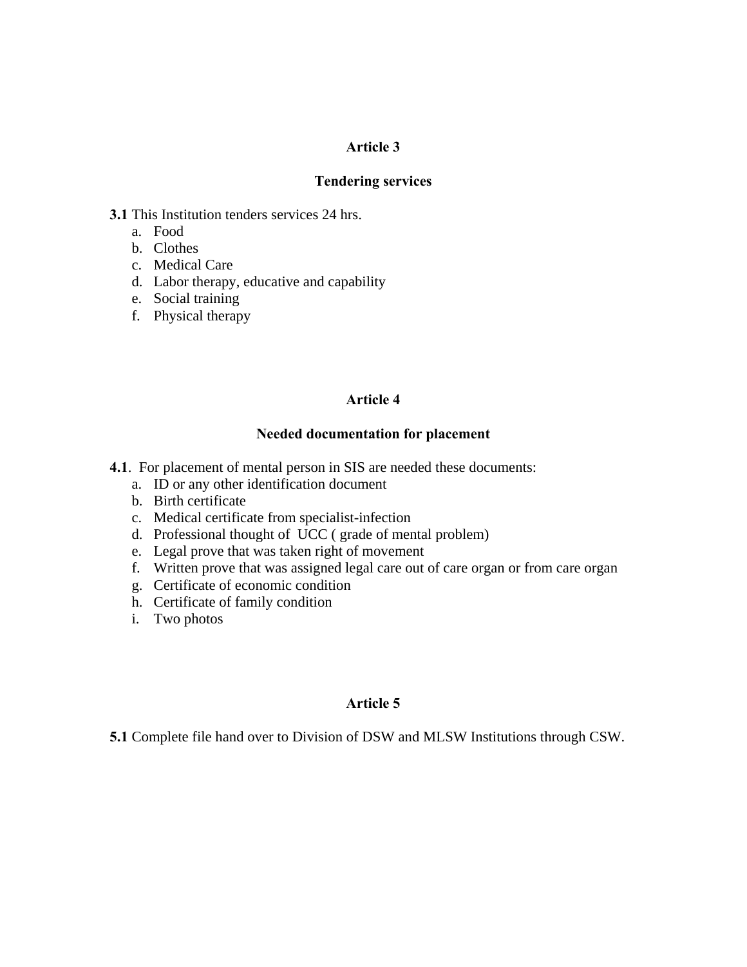## **Article 3**

### **Tendering services**

**3.1** This Institution tenders services 24 hrs.

- a. Food
- b. Clothes
- c. Medical Care
- d. Labor therapy, educative and capability
- e. Social training
- f. Physical therapy

#### **Article 4**

#### **Needed documentation for placement**

- **4.1**. For placement of mental person in SIS are needed these documents:
	- a. ID or any other identification document
	- b. Birth certificate
	- c. Medical certificate from specialist-infection
	- d. Professional thought of UCC ( grade of mental problem)
	- e. Legal prove that was taken right of movement
	- f. Written prove that was assigned legal care out of care organ or from care organ
	- g. Certificate of economic condition
	- h. Certificate of family condition
	- i. Two photos

## **Article 5**

**5.1** Complete file hand over to Division of DSW and MLSW Institutions through CSW.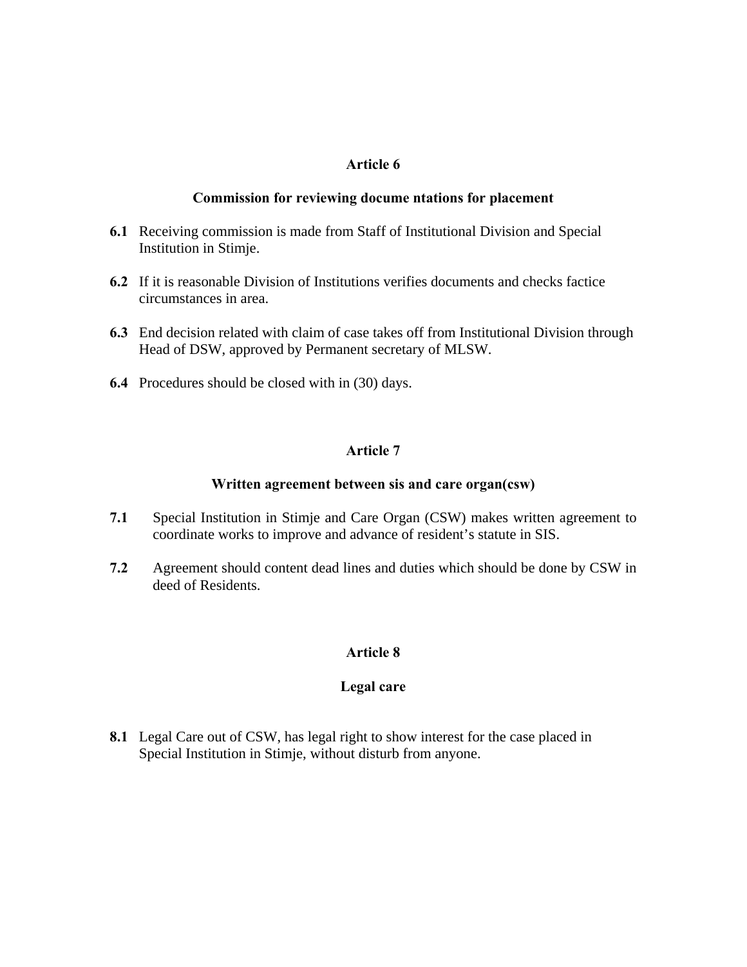## **Article 6**

#### **Commission for reviewing docume ntations for placement**

- **6.1** Receiving commission is made from Staff of Institutional Division and Special Institution in Stimje.
- **6.2** If it is reasonable Division of Institutions verifies documents and checks factice circumstances in area.
- **6.3** End decision related with claim of case takes off from Institutional Division through Head of DSW, approved by Permanent secretary of MLSW.
- **6.4** Procedures should be closed with in (30) days.

# **Article 7**

## **Written agreement between sis and care organ(csw)**

- **7.1** Special Institution in Stimje and Care Organ (CSW) makes written agreement to coordinate works to improve and advance of resident's statute in SIS.
- **7.2** Agreement should content dead lines and duties which should be done by CSW in deed of Residents.

# **Article 8**

## **Legal care**

**8.1** Legal Care out of CSW, has legal right to show interest for the case placed in Special Institution in Stimje, without disturb from anyone.